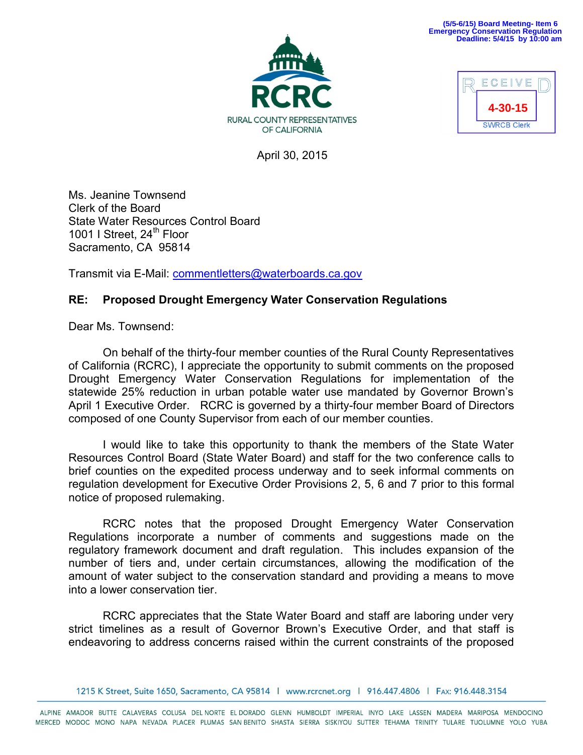## **(5/5-6/15) Board Meeting- Item 6 Emergency Conservation Regulation Deadline: 5/4/15 by 10:00 am**





April 30, 2015

Ms. Jeanine Townsend Clerk of the Board State Water Resources Control Board 1001 I Street,  $24<sup>th</sup>$  Floor Sacramento, CA 95814

Transmit via E-Mail: [commentletters@waterboards.ca.gov](mailto:commentletters@waterboards.ca.gov)

## **RE: Proposed Drought Emergency Water Conservation Regulations**

Dear Ms. Townsend:

On behalf of the thirty-four member counties of the Rural County Representatives of California (RCRC), I appreciate the opportunity to submit comments on the proposed Drought Emergency Water Conservation Regulations for implementation of the statewide 25% reduction in urban potable water use mandated by Governor Brown's April 1 Executive Order. RCRC is governed by a thirty-four member Board of Directors composed of one County Supervisor from each of our member counties.

I would like to take this opportunity to thank the members of the State Water Resources Control Board (State Water Board) and staff for the two conference calls to brief counties on the expedited process underway and to seek informal comments on regulation development for Executive Order Provisions 2, 5, 6 and 7 prior to this formal notice of proposed rulemaking.

RCRC notes that the proposed Drought Emergency Water Conservation Regulations incorporate a number of comments and suggestions made on the regulatory framework document and draft regulation. This includes expansion of the number of tiers and, under certain circumstances, allowing the modification of the amount of water subject to the conservation standard and providing a means to move into a lower conservation tier.

RCRC appreciates that the State Water Board and staff are laboring under very strict timelines as a result of Governor Brown's Executive Order, and that staff is endeavoring to address concerns raised within the current constraints of the proposed

1215 K Street, Suite 1650, Sacramento, CA 95814 | www.rcrcnet.org | 916.447.4806 | FAx: 916.448.3154

ALPINE AMADOR BUTTE CALAVERAS COLUSA DEL NORTE EL DORADO GLENN HUMBOLDT IMPERIAL INYO LAKE LASSEN MADERA MARIPOSA MENDOCINO MERCED MODOC MONO NAPA NEVADA PLACER PLUMAS SANBENITO SHASTA SIERRA SISKIYOU SUTTER TEHAMA TRINITY TULARE TUOLUMNE YOLO YUBA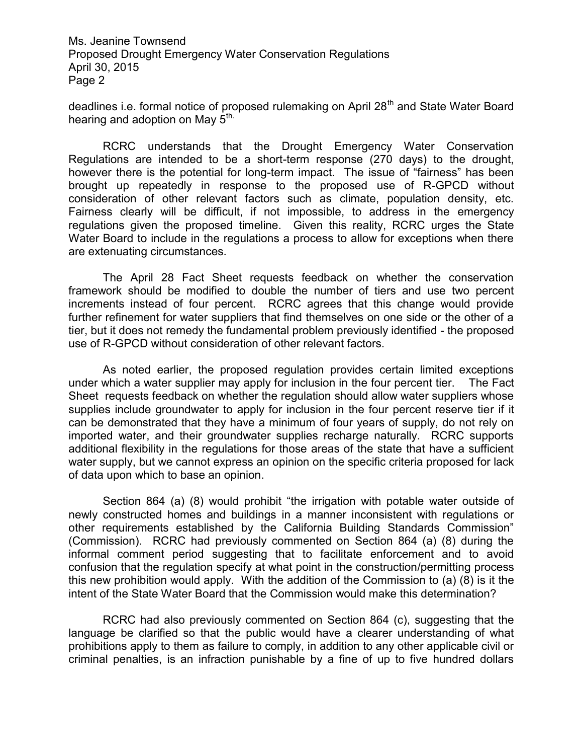Ms. Jeanine Townsend Proposed Drought Emergency Water Conservation Regulations April 30, 2015 Page 2

deadlines i.e. formal notice of proposed rulemaking on April 28<sup>th</sup> and State Water Board hearing and adoption on May 5<sup>th.</sup>

RCRC understands that the Drought Emergency Water Conservation Regulations are intended to be a short-term response (270 days) to the drought, however there is the potential for long-term impact. The issue of "fairness" has been brought up repeatedly in response to the proposed use of R-GPCD without consideration of other relevant factors such as climate, population density, etc. Fairness clearly will be difficult, if not impossible, to address in the emergency regulations given the proposed timeline. Given this reality, RCRC urges the State Water Board to include in the regulations a process to allow for exceptions when there are extenuating circumstances.

The April 28 Fact Sheet requests feedback on whether the conservation framework should be modified to double the number of tiers and use two percent increments instead of four percent. RCRC agrees that this change would provide further refinement for water suppliers that find themselves on one side or the other of a tier, but it does not remedy the fundamental problem previously identified - the proposed use of R-GPCD without consideration of other relevant factors.

As noted earlier, the proposed regulation provides certain limited exceptions under which a water supplier may apply for inclusion in the four percent tier. The Fact Sheet requests feedback on whether the regulation should allow water suppliers whose supplies include groundwater to apply for inclusion in the four percent reserve tier if it can be demonstrated that they have a minimum of four years of supply, do not rely on imported water, and their groundwater supplies recharge naturally. RCRC supports additional flexibility in the regulations for those areas of the state that have a sufficient water supply, but we cannot express an opinion on the specific criteria proposed for lack of data upon which to base an opinion.

Section 864 (a) (8) would prohibit "the irrigation with potable water outside of newly constructed homes and buildings in a manner inconsistent with regulations or other requirements established by the California Building Standards Commission" (Commission). RCRC had previously commented on Section 864 (a) (8) during the informal comment period suggesting that to facilitate enforcement and to avoid confusion that the regulation specify at what point in the construction/permitting process this new prohibition would apply. With the addition of the Commission to (a) (8) is it the intent of the State Water Board that the Commission would make this determination?

RCRC had also previously commented on Section 864 (c), suggesting that the language be clarified so that the public would have a clearer understanding of what prohibitions apply to them as failure to comply, in addition to any other applicable civil or criminal penalties, is an infraction punishable by a fine of up to five hundred dollars